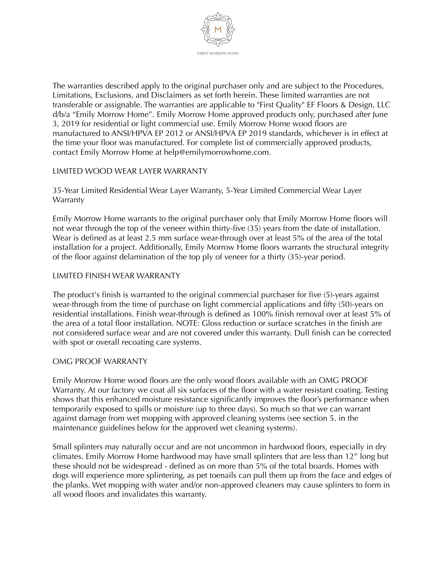

The warranties described apply to the original purchaser only and are subject to the Procedures, Limitations, Exclusions, and Disclaimers as set forth herein. These limited warranties are not transferable or assignable. The warranties are applicable to "First Quality" EF Floors & Design, LLC d/b/a "Emily Morrow Home". Emily Morrow Home approved products only, purchased after June 3, 2019 for residential or light commercial use. Emily Morrow Home wood floors are manufactured to ANSI/HPVA EP 2012 or ANSI/HPVA EP 2019 standards, whichever is in effect at the time your floor was manufactured. For complete list of commercially approved products, contact Emily Morrow Home at help@emilymorrowhome.com.

## LIMITED WOOD WEAR LAYER WARRANTY

35-Year Limited Residential Wear Layer Warranty, 5-Year Limited Commercial Wear Layer Warranty

Emily Morrow Home warrants to the original purchaser only that Emily Morrow Home floors will not wear through the top of the veneer within thirty-five (35) years from the date of installation. Wear is defined as at least 2.5 mm surface wear-through over at least 5% of the area of the total installation for a project. Additionally, Emily Morrow Home floors warrants the structural integrity of the floor against delamination of the top ply of veneer for a thirty (35)-year period.

### LIMITED FINISH WEAR WARRANTY

The product's finish is warranted to the original commercial purchaser for five (5)-years against wear-through from the time of purchase on light commercial applications and fifty (50)-years on residential installations. Finish wear-through is defined as 100% finish removal over at least 5% of the area of a total floor installation. NOTE: Gloss reduction or surface scratches in the finish are not considered surface wear and are not covered under this warranty. Dull finish can be corrected with spot or overall recoating care systems.

#### OMG PROOF WARRANTY

Emily Morrow Home wood floors are the only wood floors available with an OMG PROOF Warranty. At our factory we coat all six surfaces of the floor with a water resistant coating. Testing shows that this enhanced moisture resistance significantly improves the floor's performance when temporarily exposed to spills or moisture (up to three days). So much so that we can warrant against damage from wet mopping with approved cleaning systems (see section 5. in the maintenance guidelines below for the approved wet cleaning systems).

Small splinters may naturally occur and are not uncommon in hardwood floors, especially in dry climates. Emily Morrow Home hardwood may have small splinters that are less than 12" long but these should not be widespread - defined as on more than 5% of the total boards. Homes with dogs will experience more splintering, as pet toenails can pull them up from the face and edges of the planks. Wet mopping with water and/or non-approved cleaners may cause splinters to form in all wood floors and invalidates this warranty.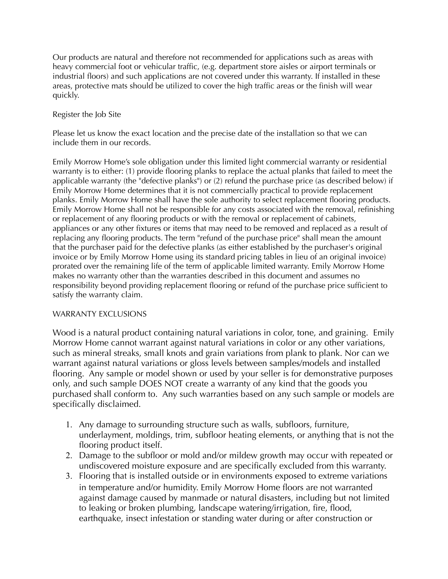Our products are natural and therefore not recommended for applications such as areas with heavy commercial foot or vehicular traffic, (e.g. department store aisles or airport terminals or industrial floors) and such applications are not covered under this warranty. If installed in these areas, protective mats should be utilized to cover the high traffic areas or the finish will wear quickly.

Register the Job Site

Please let us know the exact location and the precise date of the installation so that we can include them in our records.

Emily Morrow Home's sole obligation under this limited light commercial warranty or residential warranty is to either: (1) provide flooring planks to replace the actual planks that failed to meet the applicable warranty (the "defective planks") or (2) refund the purchase price (as described below) if Emily Morrow Home determines that it is not commercially practical to provide replacement planks. Emily Morrow Home shall have the sole authority to select replacement flooring products. Emily Morrow Home shall not be responsible for any costs associated with the removal, refinishing or replacement of any flooring products or with the removal or replacement of cabinets, appliances or any other fixtures or items that may need to be removed and replaced as a result of replacing any flooring products. The term "refund of the purchase price" shall mean the amount that the purchaser paid for the defective planks (as either established by the purchaser's original invoice or by Emily Morrow Home using its standard pricing tables in lieu of an original invoice) prorated over the remaining life of the term of applicable limited warranty. Emily Morrow Home makes no warranty other than the warranties described in this document and assumes no responsibility beyond providing replacement flooring or refund of the purchase price sufficient to satisfy the warranty claim.

# WARRANTY EXCLUSIONS

Wood is a natural product containing natural variations in color, tone, and graining. Emily Morrow Home cannot warrant against natural variations in color or any other variations, such as mineral streaks, small knots and grain variations from plank to plank. Nor can we warrant against natural variations or gloss levels between samples/models and installed flooring. Any sample or model shown or used by your seller is for demonstrative purposes only, and such sample DOES NOT create a warranty of any kind that the goods you purchased shall conform to. Any such warranties based on any such sample or models are specifically disclaimed.

- 1. Any damage to surrounding structure such as walls, subfloors, furniture, underlayment, moldings, trim, subfloor heating elements, or anything that is not the flooring product itself.
- 2. Damage to the subfloor or mold and/or mildew growth may occur with repeated or undiscovered moisture exposure and are specifically excluded from this warranty.
- 3. Flooring that is installed outside or in environments exposed to extreme variations in temperature and/or humidity. Emily Morrow Home floors are not warranted against damage caused by manmade or natural disasters, including but not limited to leaking or broken plumbing, landscape watering/irrigation, fire, flood, earthquake, insect infestation or standing water during or after construction or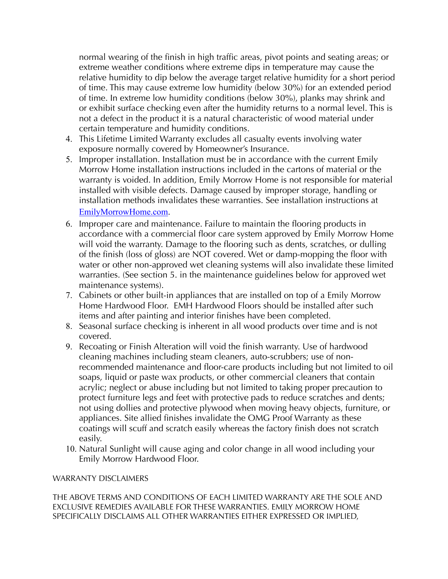normal wearing of the finish in high traffic areas, pivot points and seating areas; or extreme weather conditions where extreme dips in temperature may cause the relative humidity to dip below the average target relative humidity for a short period of time. This may cause extreme low humidity (below 30%) for an extended period of time. In extreme low humidity conditions (below 30%), planks may shrink and or exhibit surface checking even after the humidity returns to a normal level. This is not a defect in the product it is a natural characteristic of wood material under certain temperature and humidity conditions.

- 4. This Lifetime Limited Warranty excludes all casualty events involving water exposure normally covered by Homeowner's Insurance.
- 5. Improper installation. Installation must be in accordance with the current Emily Morrow Home installation instructions included in the cartons of material or the warranty is voided. In addition, Emily Morrow Home is not responsible for material installed with visible defects. Damage caused by improper storage, handling or installation methods invalidates these warranties. See installation instructions at [EmilyMorrowHome.com](http://EmilyMorrowHome.com).
- 6. Improper care and maintenance. Failure to maintain the flooring products in accordance with a commercial floor care system approved by Emily Morrow Home will void the warranty. Damage to the flooring such as dents, scratches, or dulling of the finish (loss of gloss) are NOT covered. Wet or damp-mopping the floor with water or other non-approved wet cleaning systems will also invalidate these limited warranties. (See section 5. in the maintenance guidelines below for approved wet maintenance systems).
- 7. Cabinets or other built-in appliances that are installed on top of a Emily Morrow Home Hardwood Floor. EMH Hardwood Floors should be installed after such items and after painting and interior finishes have been completed.
- 8. Seasonal surface checking is inherent in all wood products over time and is not covered.
- 9. Recoating or Finish Alteration will void the finish warranty. Use of hardwood cleaning machines including steam cleaners, auto-scrubbers; use of nonrecommended maintenance and floor-care products including but not limited to oil soaps, liquid or paste wax products, or other commercial cleaners that contain acrylic; neglect or abuse including but not limited to taking proper precaution to protect furniture legs and feet with protective pads to reduce scratches and dents; not using dollies and protective plywood when moving heavy objects, furniture, or appliances. Site allied finishes invalidate the OMG Proof Warranty as these coatings will scuff and scratch easily whereas the factory finish does not scratch easily.
- 10. Natural Sunlight will cause aging and color change in all wood including your Emily Morrow Hardwood Floor.

## WARRANTY DISCLAIMERS

THE ABOVE TERMS AND CONDITIONS OF EACH LIMITED WARRANTY ARE THE SOLE AND EXCLUSIVE REMEDIES AVAILABLE FOR THESE WARRANTIES. EMILY MORROW HOME SPECIFICALLY DISCLAIMS ALL OTHER WARRANTIES EITHER EXPRESSED OR IMPLIED,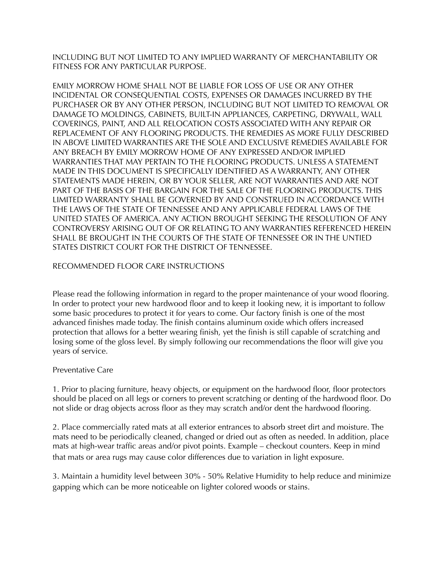INCLUDING BUT NOT LIMITED TO ANY IMPLIED WARRANTY OF MERCHANTABILITY OR FITNESS FOR ANY PARTICULAR PURPOSE.

EMILY MORROW HOME SHALL NOT BE LIABLE FOR LOSS OF USE OR ANY OTHER INCIDENTAL OR CONSEQUENTIAL COSTS, EXPENSES OR DAMAGES INCURRED BY THE PURCHASER OR BY ANY OTHER PERSON, INCLUDING BUT NOT LIMITED TO REMOVAL OR DAMAGE TO MOLDINGS, CABINETS, BUILT-IN APPLIANCES, CARPETING, DRYWALL, WALL COVERINGS, PAINT, AND ALL RELOCATION COSTS ASSOCIATED WITH ANY REPAIR OR REPLACEMENT OF ANY FLOORING PRODUCTS. THE REMEDIES AS MORE FULLY DESCRIBED IN ABOVE LIMITED WARRANTIES ARE THE SOLE AND EXCLUSIVE REMEDIES AVAILABLE FOR ANY BREACH BY EMILY MORROW HOME OF ANY EXPRESSED AND/OR IMPLIED WARRANTIES THAT MAY PERTAIN TO THE FLOORING PRODUCTS. UNLESS A STATEMENT MADE IN THIS DOCUMENT IS SPECIFICALLY IDENTIFIED AS A WARRANTY, ANY OTHER STATEMENTS MADE HEREIN, OR BY YOUR SELLER, ARE NOT WARRANTIES AND ARE NOT PART OF THE BASIS OF THE BARGAIN FOR THE SALE OF THE FLOORING PRODUCTS. THIS LIMITED WARRANTY SHALL BE GOVERNED BY AND CONSTRUED IN ACCORDANCE WITH THE LAWS OF THE STATE OF TENNESSEE AND ANY APPLICABLE FEDERAL LAWS OF THE UNITED STATES OF AMERICA. ANY ACTION BROUGHT SEEKING THE RESOLUTION OF ANY CONTROVERSY ARISING OUT OF OR RELATING TO ANY WARRANTIES REFERENCED HEREIN SHALL BE BROUGHT IN THE COURTS OF THE STATE OF TENNESSEE OR IN THE UNTIED STATES DISTRICT COURT FOR THE DISTRICT OF TENNESSEE.

### RECOMMENDED FLOOR CARE INSTRUCTIONS

Please read the following information in regard to the proper maintenance of your wood flooring. In order to protect your new hardwood floor and to keep it looking new, it is important to follow some basic procedures to protect it for years to come. Our factory finish is one of the most advanced finishes made today. The finish contains aluminum oxide which offers increased protection that allows for a better wearing finish, yet the finish is still capable of scratching and losing some of the gloss level. By simply following our recommendations the floor will give you years of service.

#### Preventative Care

1. Prior to placing furniture, heavy objects, or equipment on the hardwood floor, floor protectors should be placed on all legs or corners to prevent scratching or denting of the hardwood floor. Do not slide or drag objects across floor as they may scratch and/or dent the hardwood flooring.

2. Place commercially rated mats at all exterior entrances to absorb street dirt and moisture. The mats need to be periodically cleaned, changed or dried out as often as needed. In addition, place mats at high-wear traffic areas and/or pivot points. Example – checkout counters. Keep in mind that mats or area rugs may cause color differences due to variation in light exposure.

3. Maintain a humidity level between 30% - 50% Relative Humidity to help reduce and minimize gapping which can be more noticeable on lighter colored woods or stains.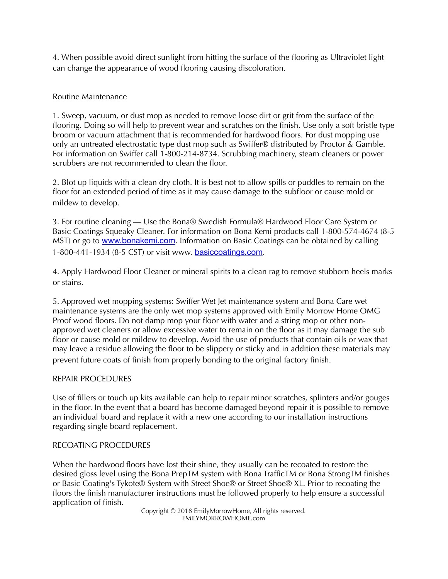4. When possible avoid direct sunlight from hitting the surface of the flooring as Ultraviolet light can change the appearance of wood flooring causing discoloration.

# Routine Maintenance

1. Sweep, vacuum, or dust mop as needed to remove loose dirt or grit from the surface of the flooring. Doing so will help to prevent wear and scratches on the finish. Use only a soft bristle type broom or vacuum attachment that is recommended for hardwood floors. For dust mopping use only an untreated electrostatic type dust mop such as Swiffer® distributed by Proctor & Gamble. For information on Swiffer call 1-800-214-8734. Scrubbing machinery, steam cleaners or power scrubbers are not recommended to clean the floor.

2. Blot up liquids with a clean dry cloth. It is best not to allow spills or puddles to remain on the floor for an extended period of time as it may cause damage to the subfloor or cause mold or mildew to develop.

3. For routine cleaning — Use the Bona® Swedish Formula® Hardwood Floor Care System or Basic Coatings Squeaky Cleaner. For information on Bona Kemi products call 1-800-574-4674 (8-5 MST) or go to [www.bonakemi.com](http://www.bonakemi.com). Information on Basic Coatings can be obtained by calling 1-800-441-1934 (8-5 CST) or visit www. [basiccoatings.com](http://basiccoatings.com).

4. Apply Hardwood Floor Cleaner or mineral spirits to a clean rag to remove stubborn heels marks or stains.

5. Approved wet mopping systems: Swiffer Wet Jet maintenance system and Bona Care wet maintenance systems are the only wet mop systems approved with Emily Morrow Home OMG Proof wood floors. Do not damp mop your floor with water and a string mop or other nonapproved wet cleaners or allow excessive water to remain on the floor as it may damage the sub floor or cause mold or mildew to develop. Avoid the use of products that contain oils or wax that may leave a residue allowing the floor to be slippery or sticky and in addition these materials may prevent future coats of finish from properly bonding to the original factory finish.

## REPAIR PROCEDURES

Use of fillers or touch up kits available can help to repair minor scratches, splinters and/or gouges in the floor. In the event that a board has become damaged beyond repair it is possible to remove an individual board and replace it with a new one according to our installation instructions regarding single board replacement.

## RECOATING PROCEDURES

When the hardwood floors have lost their shine, they usually can be recoated to restore the desired gloss level using the Bona PrepTM system with Bona TrafficTM or Bona StrongTM finishes or Basic Coating's Tykote® System with Street Shoe® or Street Shoe® XL. Prior to recoating the floors the finish manufacturer instructions must be followed properly to help ensure a successful application of finish.

Copyright © 2018 EmilyMorrowHome, All rights reserved. EMILYMORROWHOME.com